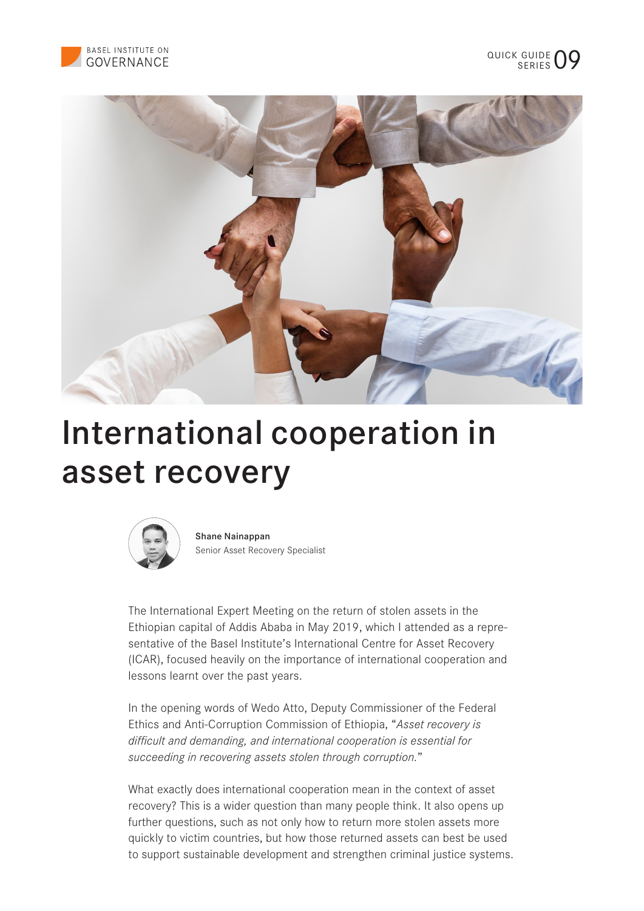



# International cooperation in asset recovery



Shane Nainappan Senior Asset Recovery Specialist

The International Expert Meeting on the return of stolen assets in the Ethiopian capital of Addis Ababa in May 2019, which I attended as a representative of the Basel Institute's International Centre for Asset Recovery (ICAR), focused heavily on the importance of international cooperation and lessons learnt over the past years.

In the opening words of Wedo Atto, Deputy Commissioner of the Federal Ethics and Anti-Corruption Commission of Ethiopia, "*Asset recovery is difficult and demanding, and international cooperation is essential for succeeding in recovering assets stolen through corruption.*"

What exactly does international cooperation mean in the context of asset recovery? This is a wider question than many people think. It also opens up further questions, such as not only how to return more stolen assets more quickly to victim countries, but how those returned assets can best be used to support sustainable development and strengthen criminal justice systems.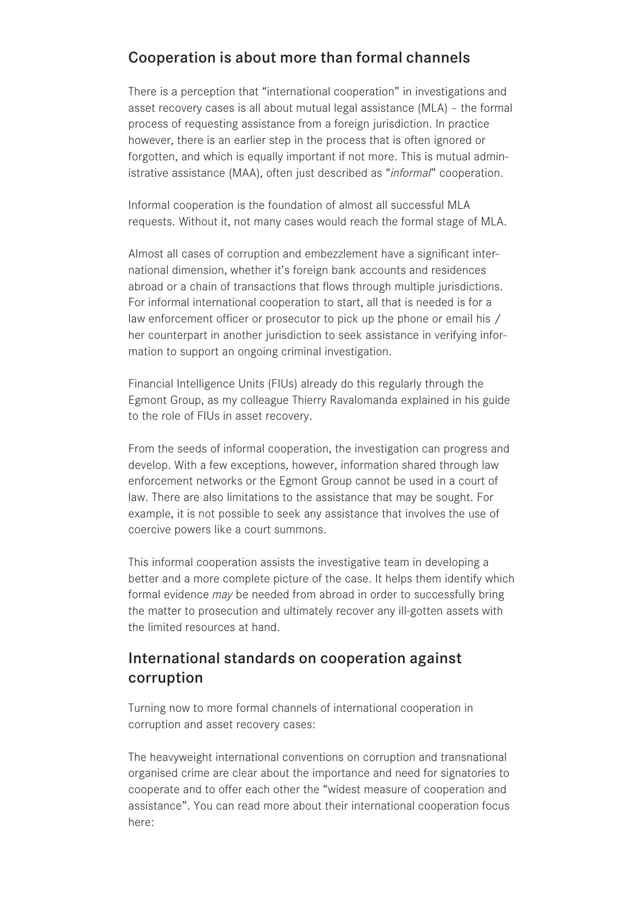### Cooperation is about more than formal channels

There is a perception that "international cooperation" in investigations and asset recovery cases is all about mutual legal assistance (MLA) – the formal process of requesting assistance from a foreign jurisdiction. In practice however, there is an earlier step in the process that is often ignored or forgotten, and which is equally important if not more. This is mutual administrative assistance (MAA), often just described as "*informal*" cooperation.

Informal cooperation is the foundation of almost all successful MLA requests. Without it, not many cases would reach the formal stage of MLA.

Almost all cases of corruption and embezzlement have a significant international dimension, whether it's foreign bank accounts and residences abroad or a chain of transactions that flows through multiple jurisdictions. For informal international cooperation to start, all that is needed is for a law enforcement officer or prosecutor to pick up the phone or email his / her counterpart in another jurisdiction to seek assistance in verifying information to support an ongoing criminal investigation.

Financial Intelligence Units (FIUs) already do this regularly through the Egmont Group, as my colleague Thierry Ravalomanda explained in his guide to the role of FIUs in asset recovery.

From the seeds of informal cooperation, the investigation can progress and develop. With a few exceptions, however, information shared through law enforcement networks or the Egmont Group cannot be used in a court of law. There are also limitations to the assistance that may be sought. For example, it is not possible to seek any assistance that involves the use of coercive powers like a court summons.

This informal cooperation assists the investigative team in developing a better and a more complete picture of the case. It helps them identify which formal evidence *may* be needed from abroad in order to successfully bring the matter to prosecution and ultimately recover any ill-gotten assets with the limited resources at hand.

## International standards on cooperation against corruption

Turning now to more formal channels of international cooperation in corruption and asset recovery cases:

The heavyweight international conventions on corruption and transnational organised crime are clear about the importance and need for signatories to cooperate and to offer each other the "widest measure of cooperation and assistance". You can read more about their international cooperation focus here: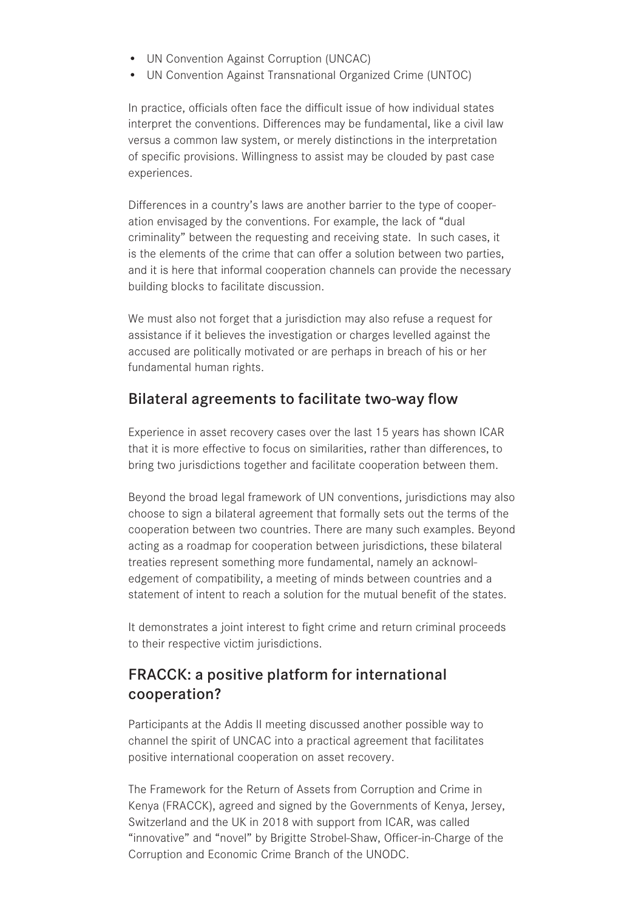- UN Convention Against Corruption (UNCAC)
- UN Convention Against Transnational Organized Crime (UNTOC)

In practice, officials often face the difficult issue of how individual states interpret the conventions. Differences may be fundamental, like a civil law versus a common law system, or merely distinctions in the interpretation of specific provisions. Willingness to assist may be clouded by past case experiences.

Differences in a country's laws are another barrier to the type of cooperation envisaged by the conventions. For example, the lack of "dual criminality" between the requesting and receiving state. In such cases, it is the elements of the crime that can offer a solution between two parties, and it is here that informal cooperation channels can provide the necessary building blocks to facilitate discussion.

We must also not forget that a jurisdiction may also refuse a request for assistance if it believes the investigation or charges levelled against the accused are politically motivated or are perhaps in breach of his or her fundamental human rights.

#### Bilateral agreements to facilitate two-way flow

Experience in asset recovery cases over the last 15 years has shown ICAR that it is more effective to focus on similarities, rather than differences, to bring two jurisdictions together and facilitate cooperation between them.

Beyond the broad legal framework of UN conventions, jurisdictions may also choose to sign a bilateral agreement that formally sets out the terms of the cooperation between two countries. There are many such examples. Beyond acting as a roadmap for cooperation between jurisdictions, these bilateral treaties represent something more fundamental, namely an acknowledgement of compatibility, a meeting of minds between countries and a statement of intent to reach a solution for the mutual benefit of the states.

It demonstrates a joint interest to fight crime and return criminal proceeds to their respective victim jurisdictions.

## FRACCK: a positive platform for international cooperation?

Participants at the Addis II meeting discussed another possible way to channel the spirit of UNCAC into a practical agreement that facilitates positive international cooperation on asset recovery.

The Framework for the Return of Assets from Corruption and Crime in Kenya (FRACCK), agreed and signed by the Governments of Kenya, Jersey, Switzerland and the UK in 2018 with support from ICAR, was called "innovative" and "novel" by Brigitte Strobel-Shaw, Officer-in-Charge of the Corruption and Economic Crime Branch of the UNODC.